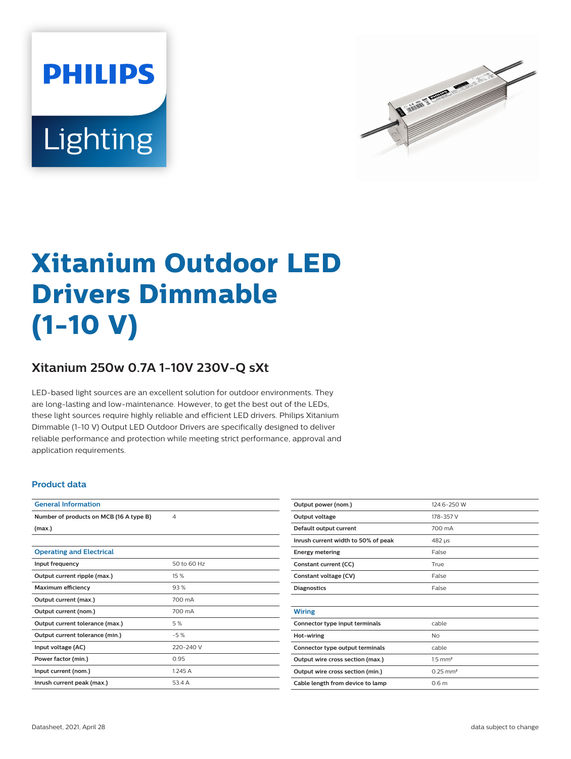



# **Xitanium Outdoor LED Drivers Dimmable (1-10 V)**

## **Xitanium 250w 0.7A 1-10V 230V-Q sXt**

LED-based light sources are an excellent solution for outdoor environments. They are long-lasting and low-maintenance. However, to get the best out of the LEDs, these light sources require highly reliable and efficient LED drivers. Philips Xitanium Dimmable (1-10 V) Output LED Outdoor Drivers are specifically designed to deliver reliable performance and protection while meeting strict performance, approval and application requirements.

#### **Product data**

| <b>General Information</b>              |             |
|-----------------------------------------|-------------|
| Number of products on MCB (16 A type B) | 4           |
| (max.)                                  |             |
|                                         |             |
| <b>Operating and Electrical</b>         |             |
| Input frequency                         | 50 to 60 Hz |
| Output current ripple (max.)            | 15 %        |
| <b>Maximum efficiency</b>               | 93%         |
| Output current (max.)                   | 700 mA      |
| Output current (nom.)                   | 700 mA      |
| Output current tolerance (max.)         | 5 %         |
| Output current tolerance (min.)         | $-5%$       |
| Input voltage (AC)                      | 220-240 V   |
| Power factor (min.)                     | 0.95        |
| Input current (nom.)                    | 1.245A      |
| Inrush current peak (max.)              | 53.4 A      |

| Output power (nom.)                 | 124.6-250 W            |  |  |
|-------------------------------------|------------------------|--|--|
| Output voltage                      | 178-357 V              |  |  |
| Default output current              | 700 mA                 |  |  |
| Inrush current width to 50% of peak | 482 µs                 |  |  |
| <b>Energy metering</b>              | False                  |  |  |
| Constant current (CC)               | True                   |  |  |
| Constant voltage (CV)               | False                  |  |  |
| <b>Diagnostics</b>                  | False                  |  |  |
|                                     |                        |  |  |
| <b>Wiring</b>                       |                        |  |  |
| Connector type input terminals      | cable                  |  |  |
| Hot-wiring                          | No                     |  |  |
| Connector type output terminals     | cable                  |  |  |
| Output wire cross section (max.)    | $1.5$ mm <sup>2</sup>  |  |  |
| Output wire cross section (min.)    | $0.25$ mm <sup>2</sup> |  |  |
| Cable length from device to lamp    | 0.6 <sub>m</sub>       |  |  |
|                                     |                        |  |  |